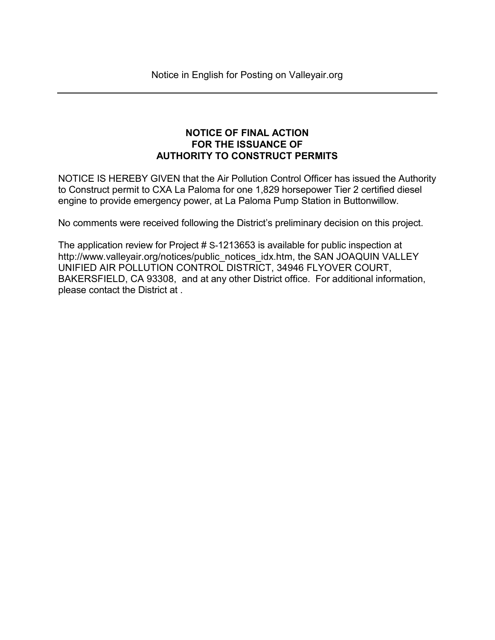## NOTICE OF FINAL ACTION FOR THE ISSUANCE OF AUTHORITY TO CONSTRUCT PERMITS

NOTICE IS HEREBY GIVEN that the Air Pollution Control Officer has issued the Authority to Construct permit to CXA La Paloma for one 1,829 horsepower Tier 2 certified diesel engine to provide emergency power, at La Paloma Pump Station in Buttonwillow.

No comments were received following the District's preliminary decision on this project.

The application review for Project # S-1213653 is available for public inspection at http://www.valleyair.org/notices/public\_notices\_idx.htm, the SAN JOAQUIN VALLEY UNIFIED AIR POLLUTION CONTROL DISTRICT, 34946 FLYOVER COURT, BAKERSFIELD, CA 93308, and at any other District office. For additional information, please contact the District at .